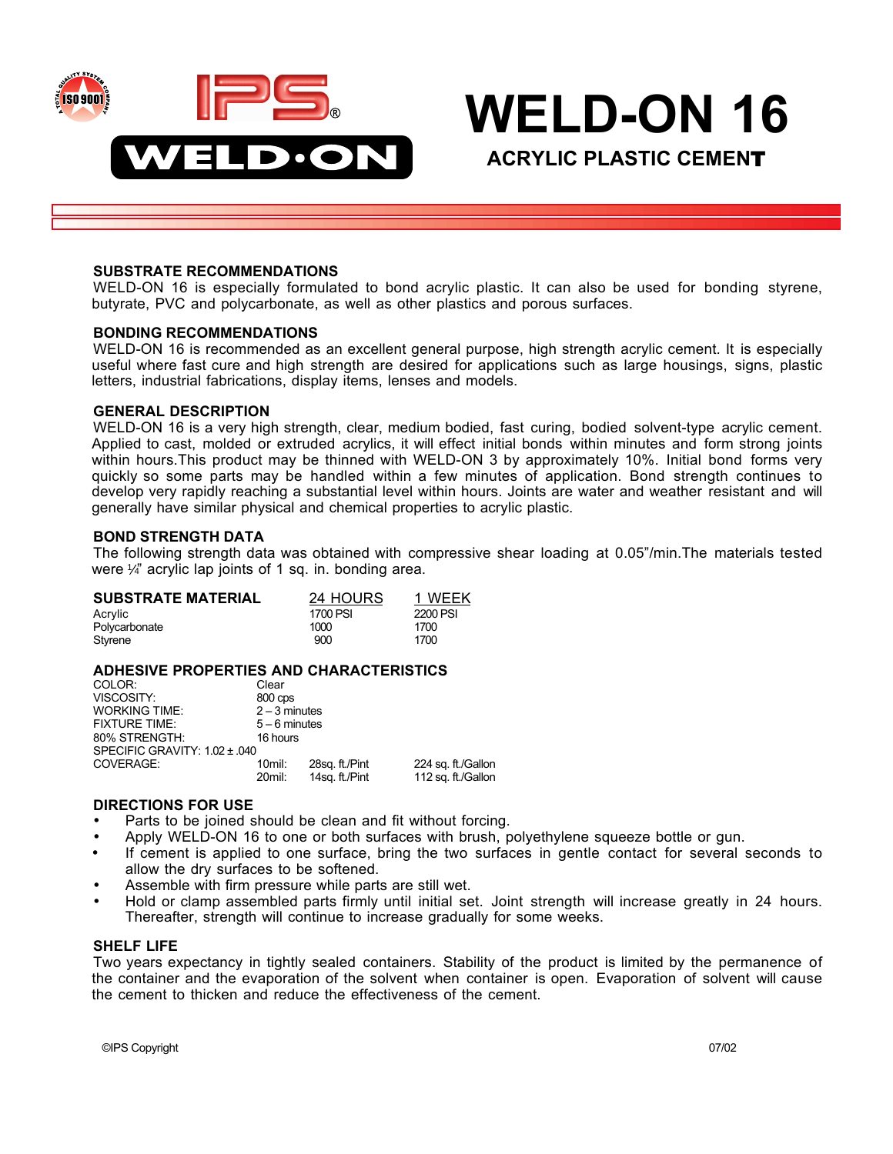

# **WELD-ON 16**

**ACRYLIC PLASTIC CEMEN**T

#### **SUBSTRATE RECOMMENDATIONS**

WELD-ON 16 is especially formulated to bond acrylic plastic. It can also be used for bonding styrene, butyrate, PVC and polycarbonate, as well as other plastics and porous surfaces.

#### **BONDING RECOMMENDATIONS**

WELD-ON 16 is recommended as an excellent general purpose, high strength acrylic cement. It is especially useful where fast cure and high strength are desired for applications such as large housings, signs, plastic letters, industrial fabrications, display items, lenses and models.

#### **GENERAL DESCRIPTION**

WELD-ON 16 is a very high strength, clear, medium bodied, fast curing, bodied solvent-type acrylic cement. Applied to cast, molded or extruded acrylics, it will effect initial bonds within minutes and form strong joints within hours.This product may be thinned with WELD-ON 3 by approximately 10%. Initial bond forms very quickly so some parts may be handled within a few minutes of application. Bond strength continues to develop very rapidly reaching a substantial level within hours. Joints are water and weather resistant and will generally have similar physical and chemical properties to acrylic plastic.

#### **BOND STRENGTH DATA**

The following strength data was obtained with compressive shear loading at 0.05"/min.The materials tested were  $\frac{1}{4}$  acrylic lap joints of 1 sq. in. bonding area.

| <b>SUBSTRATE MATERIAL</b> | 24 HOURS | 1 WEEK   |
|---------------------------|----------|----------|
| Acrylic                   | 1700 PSI | 2200 PSI |
| Polycarbonate             | 1000     | 1700     |
| Styrene                   | 900      | 1700     |

#### **ADHESIVE PROPERTIES AND CHARACTERISTICS**

| COLOR:                        | Clear           |                |                    |  |
|-------------------------------|-----------------|----------------|--------------------|--|
| VISCOSITY:                    | 800 cps         |                |                    |  |
| <b>WORKING TIME:</b>          | $2 - 3$ minutes |                |                    |  |
| <b>FIXTURE TIME:</b>          | $5 - 6$ minutes |                |                    |  |
| 80% STRENGTH:                 | 16 hours        |                |                    |  |
| SPECIFIC GRAVITY: 1.02 ± .040 |                 |                |                    |  |
| COVERAGE:                     | 10mil:          | 28sq. ft./Pint | 224 sq. ft./Gallon |  |
|                               | 20mil:          | 14sq. ft./Pint | 112 sq. ft./Gallon |  |

# **DIRECTIONS FOR USE**

Parts to be joined should be clean and fit without forcing.

Apply WELD-ON 16 to one or both surfaces with brush, polyethylene squeeze bottle or gun.

If cement is applied to one surface, bring the two surfaces in gentle contact for several seconds to allow the dry surfaces to be softened.

Assemble with firm pressure while parts are still wet.

Hold or clamp assembled parts firmly until initial set. Joint strength will increase greatly in 24 hours. Thereafter, strength will continue to increase gradually for some weeks.

#### **SHELF LIFE**

Two years expectancy in tightly sealed containers. Stability of the product is limited by the permanence of the container and the evaporation of the solvent when container is open. Evaporation of solvent will cause the cement to thicken and reduce the effectiveness of the cement.